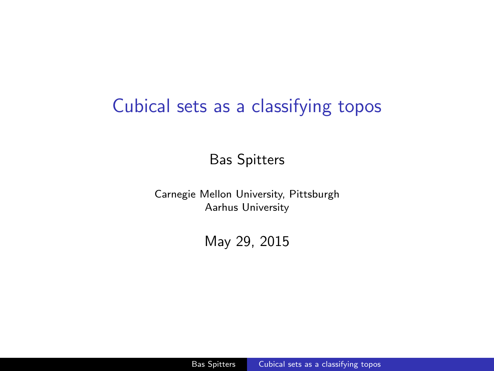### <span id="page-0-0"></span>Cubical sets as a classifying topos

Bas Spitters

Carnegie Mellon University, Pittsburgh Aarhus University

May 29, 2015

Bas Spitters [Cubical sets as a classifying topos](#page-0-0)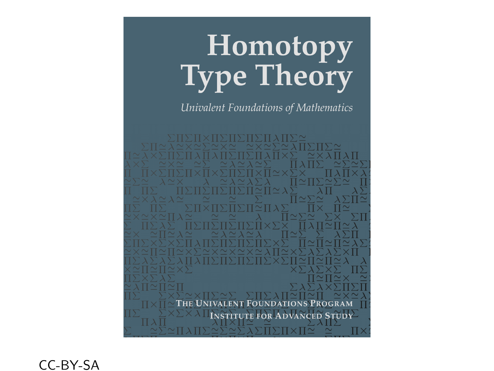# **Homotopy**<br>Type Theory

Univalent Foundations of Mathematics

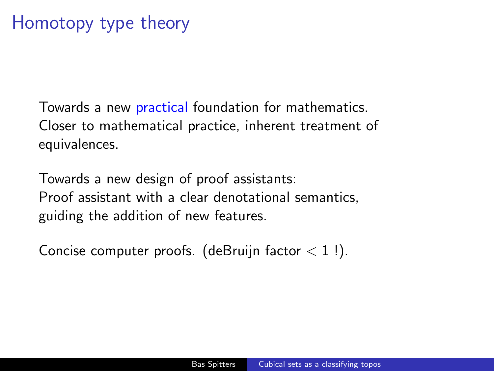## Homotopy type theory

Towards a new practical foundation for mathematics. Closer to mathematical practice, inherent treatment of equivalences.

Towards a new design of proof assistants: Proof assistant with a clear denotational semantics, guiding the addition of new features.

Concise computer proofs. (deBruijn factor  $< 1$ !).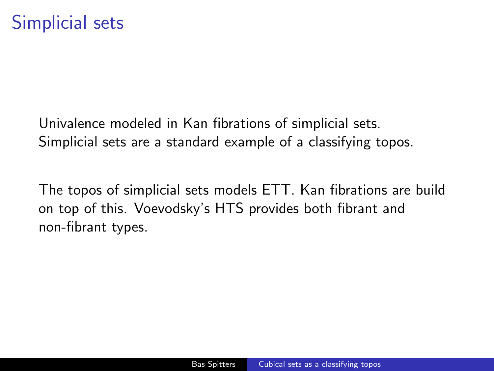Univalence modeled in Kan fibrations of simplicial sets. Simplicial sets are a standard example of a classifying topos.

The topos of simplicial sets models ETT. Kan fibrations are build on top of this. Voevodsky's HTS provides both fibrant and non-fibrant types.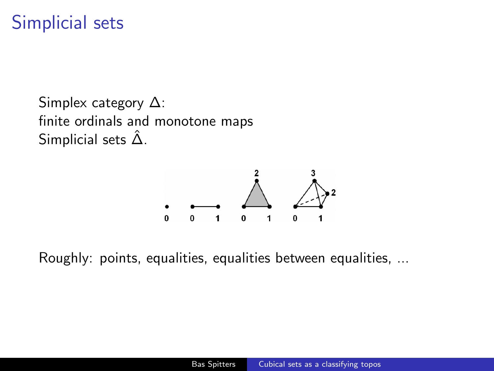## Simplicial sets

Simplex category ∆: finite ordinals and monotone maps Simplicial sets  $\hat{\Delta}$ .



Roughly: points, equalities, equalities between equalities, ...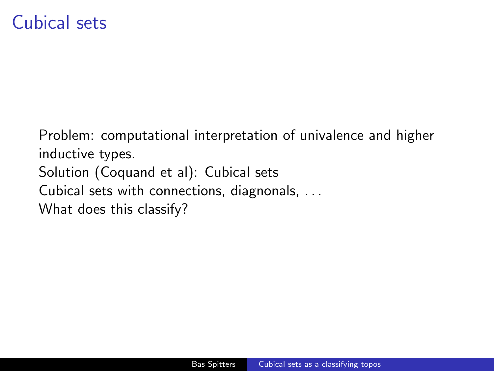## Cubical sets

Problem: computational interpretation of univalence and higher inductive types. Solution (Coquand et al): Cubical sets Cubical sets with connections, diagnonals, . . . What does this classify?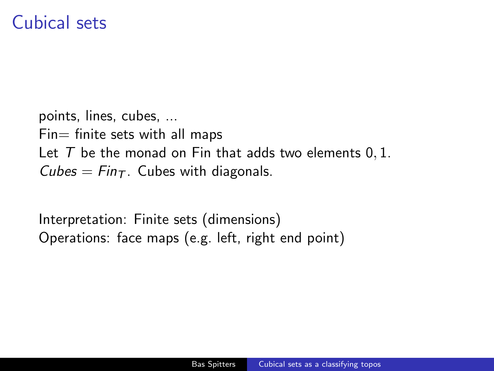### Cubical sets

points, lines, cubes, ...  $Fin=$  finite sets with all maps Let  $T$  be the monad on Fin that adds two elements  $0, 1$ . Cubes =  $Fin<sub>T</sub>$ . Cubes with diagonals.

Interpretation: Finite sets (dimensions) Operations: face maps (e.g. left, right end point)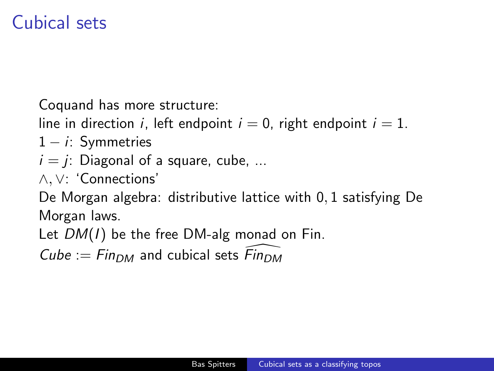## Cubical sets

Coquand has more structure:

line in direction *i*, left endpoint  $i = 0$ , right endpoint  $i = 1$ .

- $1 i$ : Symmetries
- $i = i$ : Diagonal of a square, cube, ...
- ∧, ∨: 'Connections'

De Morgan algebra: distributive lattice with 0, 1 satisfying De Morgan laws.

Let  $DM(I)$  be the free DM-alg monad on Fin.

Cube :=  $F_{\text{IDM}}$  and cubical sets  $\widehat{F}_{\text{IDM}}$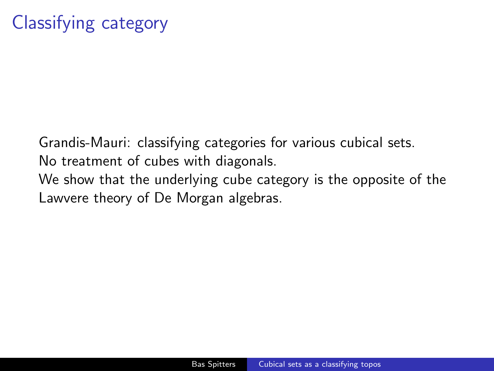Grandis-Mauri: classifying categories for various cubical sets. No treatment of cubes with diagonals. We show that the underlying cube category is the opposite of the Lawvere theory of De Morgan algebras.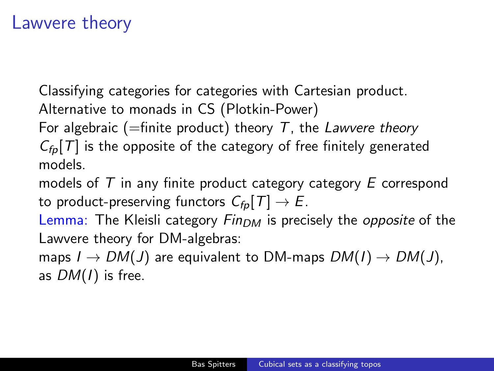#### Lawvere theory

Classifying categories for categories with Cartesian product. Alternative to monads in CS (Plotkin-Power)

For algebraic (=finite product) theory  $T$ , the Lawvere theory

 $C_{\text{fn}}[T]$  is the opposite of the category of free finitely generated models.

models of  $T$  in any finite product category category  $E$  correspond to product-preserving functors  $C_{fn}[T] \rightarrow E$ .

Lemma: The Kleisli category  $F_{\text{ID}M}$  is precisely the opposite of the Lawvere theory for DM-algebras:

maps  $I \rightarrow DM(J)$  are equivalent to DM-maps  $DM(I) \rightarrow DM(J)$ , as  $DM(I)$  is free.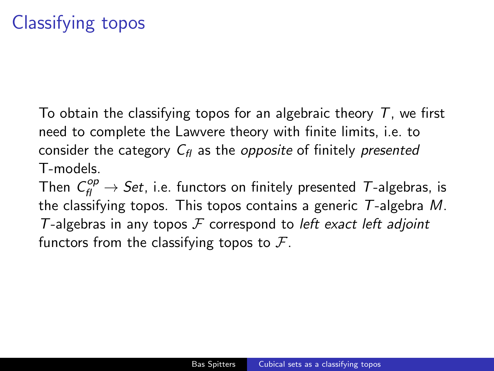To obtain the classifying topos for an algebraic theory  $T$ , we first need to complete the Lawvere theory with finite limits, i.e. to consider the category  $C_f$  as the *opposite* of finitely *presented* T-models.

Then  $C_{\mathit{fl}}^{\mathit{op}}\to\mathit{Set}$ , i.e. functors on finitely presented  $\mathcal T\text{-algebras},$  is the classifying topos. This topos contains a generic  $T$ -algebra M. T-algebras in any topos  $F$  correspond to left exact left adjoint functors from the classifying topos to  $\mathcal{F}$ .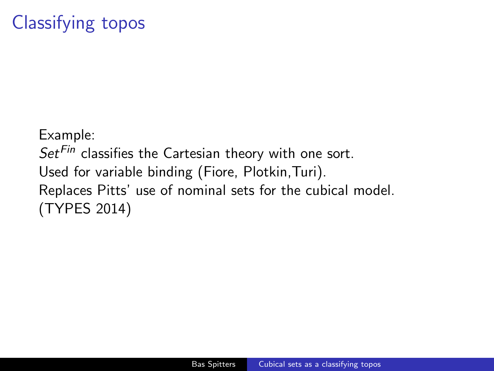# Classifying topos

Example:  $Set^{Fin}$  classifies the Cartesian theory with one sort. Used for variable binding (Fiore, Plotkin,Turi). Replaces Pitts' use of nominal sets for the cubical model. (TYPES 2014)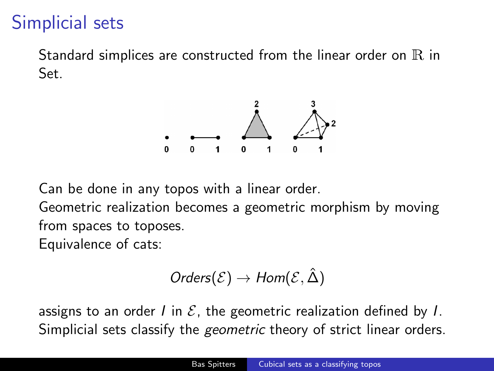## Simplicial sets

Standard simplices are constructed from the linear order on  $R$  in Set.



Can be done in any topos with a linear order.

Geometric realization becomes a geometric morphism by moving from spaces to toposes.

Equivalence of cats:

$$
\mathit{Orders}(\mathcal{E})\to\mathit{Hom}(\mathcal{E},\hat{\Delta})
$$

assigns to an order I in  $\mathcal E$ , the geometric realization defined by I. Simplicial sets classify the *geometric* theory of strict linear orders.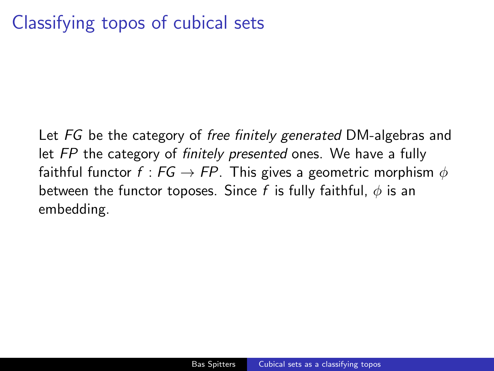# Classifying topos of cubical sets

Let FG be the category of free finitely generated DM-algebras and let FP the category of finitely presented ones. We have a fully faithful functor  $f : FG \rightarrow FP$ . This gives a geometric morphism  $\phi$ between the functor toposes. Since f is fully faithful,  $\phi$  is an embedding.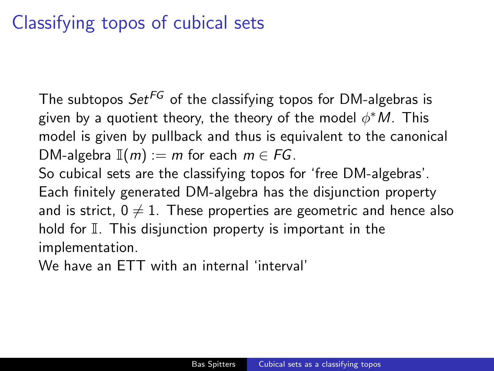# Classifying topos of cubical sets

The subtopos  $Set^{FG}$  of the classifying topos for DM-algebras is given by a quotient theory, the theory of the model  $\phi^*M$ . This model is given by pullback and thus is equivalent to the canonical DM-algebra  $\mathbb{I}(m) := m$  for each  $m \in FG$ . So cubical sets are the classifying topos for 'free DM-algebras'. Each finitely generated DM-algebra has the disjunction property and is strict,  $0 \neq 1$ . These properties are geometric and hence also hold for  $\mathbb I$ . This disjunction property is important in the implementation.

We have an ETT with an internal 'interval'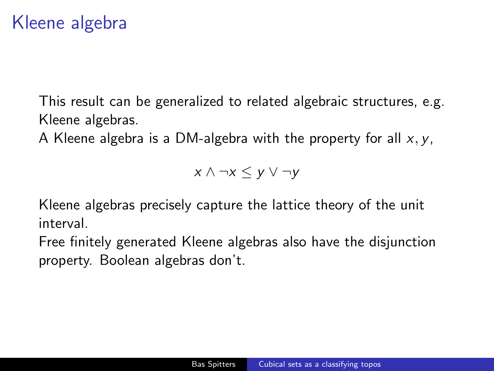## Kleene algebra

This result can be generalized to related algebraic structures, e.g. Kleene algebras.

A Kleene algebra is a DM-algebra with the property for all  $x, y$ ,

 $x \wedge \neg x \leq y \vee \neg y$ 

Kleene algebras precisely capture the lattice theory of the unit interval.

Free finitely generated Kleene algebras also have the disjunction property. Boolean algebras don't.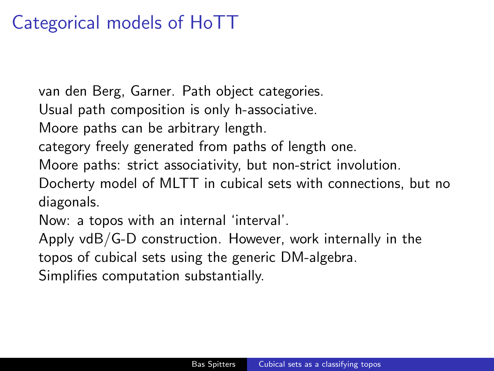# Categorical models of HoTT

van den Berg, Garner. Path object categories.

Usual path composition is only h-associative.

Moore paths can be arbitrary length.

category freely generated from paths of length one.

Moore paths: strict associativity, but non-strict involution.

Docherty model of MLTT in cubical sets with connections, but no diagonals.

Now: a topos with an internal 'interval'.

Apply vdB/G-D construction. However, work internally in the

topos of cubical sets using the generic DM-algebra.

Simplifies computation substantially.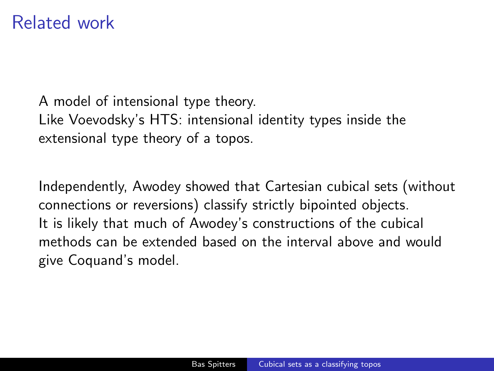#### Related work

A model of intensional type theory. Like Voevodsky's HTS: intensional identity types inside the extensional type theory of a topos.

Independently, Awodey showed that Cartesian cubical sets (without connections or reversions) classify strictly bipointed objects. It is likely that much of Awodey's constructions of the cubical methods can be extended based on the interval above and would give Coquand's model.